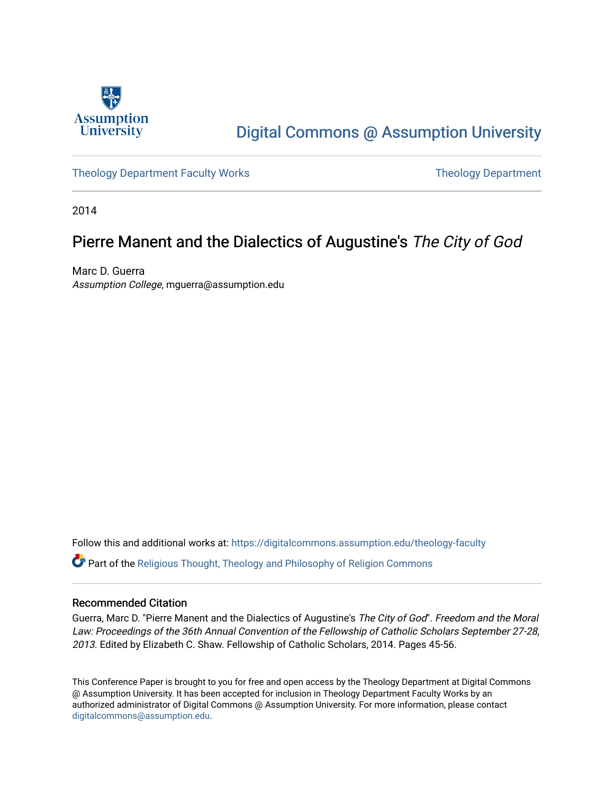

## [Digital Commons @ Assumption University](https://digitalcommons.assumption.edu/)

[Theology Department Faculty Works](https://digitalcommons.assumption.edu/theology-faculty) Theology Department

2014

### Pierre Manent and the Dialectics of Augustine's The City of God

Marc D. Guerra Assumption College, mguerra@assumption.edu

Follow this and additional works at: [https://digitalcommons.assumption.edu/theology-faculty](https://digitalcommons.assumption.edu/theology-faculty?utm_source=digitalcommons.assumption.edu%2Ftheology-faculty%2F4&utm_medium=PDF&utm_campaign=PDFCoverPages)  Part of the [Religious Thought, Theology and Philosophy of Religion Commons](http://network.bepress.com/hgg/discipline/544?utm_source=digitalcommons.assumption.edu%2Ftheology-faculty%2F4&utm_medium=PDF&utm_campaign=PDFCoverPages) 

### Recommended Citation

Guerra, Marc D. "Pierre Manent and the Dialectics of Augustine's The City of God". Freedom and the Moral Law: Proceedings of the 36th Annual Convention of the Fellowship of Catholic Scholars September 27-28, 2013. Edited by Elizabeth C. Shaw. Fellowship of Catholic Scholars, 2014. Pages 45-56.

This Conference Paper is brought to you for free and open access by the Theology Department at Digital Commons @ Assumption University. It has been accepted for inclusion in Theology Department Faculty Works by an authorized administrator of Digital Commons @ Assumption University. For more information, please contact [digitalcommons@assumption.edu](mailto:digitalcommons@assumption.edu).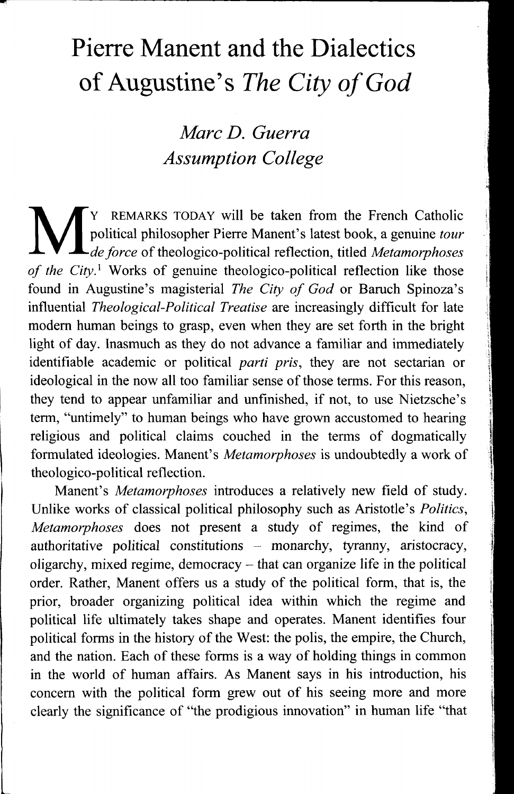# **Pierre Manent and the Dialectics of Augustine's** *The City of God*

*Marc D. Guerra Assumption College* 

WEMARKS TODAY will be taken from the French Catholic<br>political philosopher Pierre Manent's latest book, a genuine *tour*<br>de force of theologico-political reflection, titled Metamorphoses political philosopher Pierre Manent's latest book, a genuine *tour de force* of theologico-political reflection, titled *Metamorphoses of the City.*<sup>1</sup> Works of genuine theologico-political reflection like those found in Augustine's magisterial *The City of God* or Baruch Spinoza's influential *Theological-Political Treatise* are increasingly difficult for late modem human beings to grasp, even when they are set forth in the bright light of day. Inasmuch as they do not advance a familiar and immediately identifiable academic or political *parti pris,* they are not sectarian or ideological in the now all too familiar sense of those terms. For this reason, they tend to appear unfamiliar and unfinished, if not, to use Nietzsche's term, "untimely" to human beings who have grown accustomed to hearing religious and political claims couched in the terms of dogmatically formulated ideologies. Manent's *Metamorphoses* is undoubtedly a work of theologico-political reflection.

Manent's *Metamorphoses* introduces a relatively new field of study. Unlike works of classical political philosophy such as Aristotle's *Politics, Metamorphoses* does not present a study of regimes, the kind of authoritative political constitutions  $-$  monarchy, tyranny, aristocracy, oligarchy, mixed regime, democracy - that can organize life in the political order. Rather, Manent offers us a study of the political form, that is, the prior, broader organizing political idea within which the regime and political life ultimately takes shape and operates. Manent identifies four political forms in the history of the West: the polis, the empire, the Church, and the nation. Each of these forms is a way of holding things in common in the world of human affairs. As Manent says in his introduction, his concern with the political form grew out of his seeing more and more clearly the significance of "the prodigious innovation" in human life "that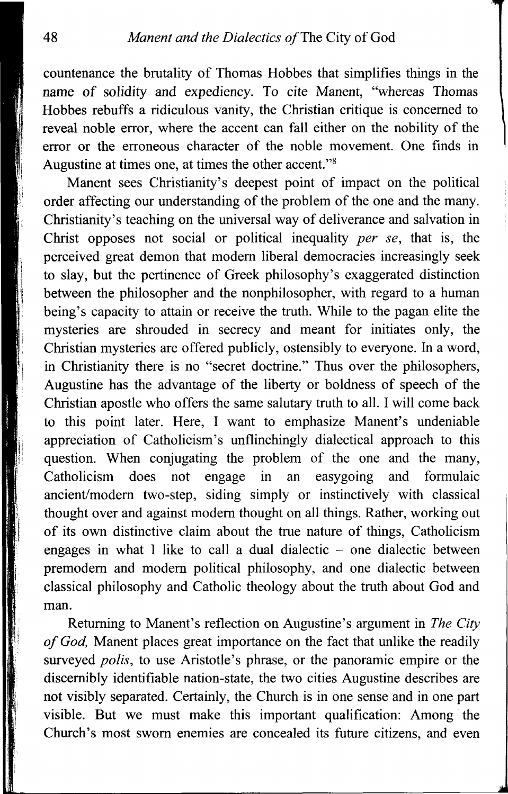countenance the brutality of Thomas Hobbes that simplifies things in the name of solidity and expediency. To cite Manent, "whereas Thomas Hobbes rebuffs a ridiculous vanity, the Christian critique is concerned to reveal noble error, where the accent can fall either on the nobility of the error or the erroneous character of the noble movement. One finds in Augustine at times one, at times the other accent. "8

Manent sees Christianity's deepest point of impact on the political order affecting our understanding of the problem of the one and the many. Christianity's teaching on the universal way of deliverance and salvation in Christ opposes not social or political inequality *per se,* that is, the perceived great demon that modem liberal democracies increasingly seek to slay, but the pertinence of Greek philosophy's exaggerated distinction between the philosopher and the nonphilosopher, with regard to a human being's capacity to attain or receive the truth. While to the pagan elite the mysteries are shrouded in secrecy and meant for initiates only, the Christian mysteries are offered publicly, ostensibly to everyone. In a word, in Christianity there is no "secret doctrine." Thus over the philosophers, Augustine has the advantage of the liberty or boldness of speech of the Christian apostle who offers the same salutary truth to all. I will come back to this point later. Here, I want to emphasize Manent's undeniable appreciation of Catholicism's unflinchingly dialectical approach to this question. When conjugating the problem of the one and the many, Catholicism does not engage in an easygoing and formulaic ancient/modem two-step, siding simply or instinctively with classical thought over and against modem thought on all things. Rather, working out of its own distinctive claim about the true nature of things, Catholicism engages in what I like to call a dual dialectic  $-$  one dialectic between premodem and modem political philosophy, and one dialectic between classical philosophy and Catholic theology about the truth about God and man.

Returning to Manent's reflection on Augustine's argument in *The City of God,* Manent places great importance on the fact that unlike the readily surveyed *polis,* to use Aristotle's phrase, or the panoramic empire or the discernibly identifiable nation-state, the two cities Augustine describes are not visibly separated. Certainly, the Church is in one sense and in one part visible. But we must make this important qualification: Among the Church's most sworn enemies are concealed its future citizens, and even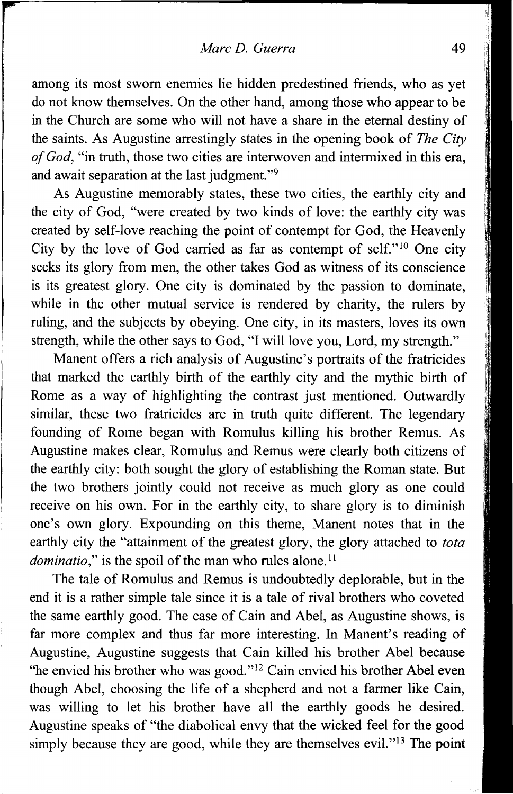among its most sworn enemies lie hidden predestined friends, who as yet do not know themselves. On the other hand, among those who appear to be in the Church are some who will not have a share in the eternal destiny of the saints. As Augustine arrestingly states in the opening book of *The City of God,* "in truth, those two cities are interwoven and intermixed in this era, and await separation at the last judgment."<sup>9</sup>

As Augustine memorably states, these two cities, the earthly city and the city of God, "were created by two kinds of love: the earthly city was created by self-love reaching the point of contempt for God, the Heavenly City by the love of God carried as far as contempt of self."<sup>10</sup> One city seeks its glory from men, the other takes God as witness of its conscience is its greatest glory. One city is dominated by the passion to dominate, while in the other mutual service is rendered by charity, the rulers by ruling, and the subjects by obeying. One city, in its masters, loves its own strength, while the other says to God, "I will love you, Lord, my strength."

Manent offers a rich analysis of Augustine's portraits of the fratricides that marked the earthly birth of the earthly city and the mythic birth of Rome as a way of highlighting the contrast just mentioned. Outwardly similar, these two fratricides are in truth quite different. The legendary founding of Rome began with Romulus killing his brother Remus. As Augustine makes clear, Romulus and Remus were clearly both citizens of the earthly city: both sought the glory of establishing the Roman state. But the two brothers jointly could not receive as much glory as one could receive on his own. For in the earthly city, to share glory is to diminish one's own glory. Expounding on this theme, Manent notes that in the earthly city the "attainment of the greatest glory, the glory attached to *tota dominatio*," is the spoil of the man who rules alone.<sup>11</sup>

The tale of Romulus and Remus is undoubtedly deplorable, but in the end it is a rather simple tale since it is a tale of rival brothers who coveted the same earthly good. The case of Cain and Abel, as Augustine shows, is far more complex and thus far more interesting. In Manent's reading of Augustine, Augustine suggests that Cain killed his brother Abel because "he envied his brother who was good." $12$  Cain envied his brother Abel even though Abel, choosing the life of a shepherd and not a farmer like Cain, was willing to let his brother have all the earthly goods he desired. Augustine speaks of "the diabolical envy that the wicked feel for the good simply because they are good, while they are themselves evil."<sup>13</sup> The point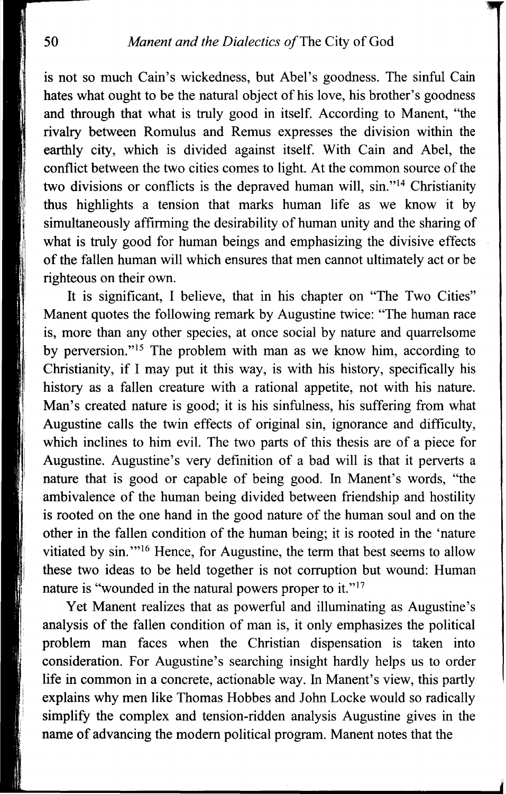is not so much Cain's wickedness, but Abel's goodness. The sinful Cain hates what ought to be the natural object of his love, his brother's goodness and through that what is truly good in itself. According to Manent, "the rivalry between Romulus and Remus expresses the division within the earthly city, which is divided against itself. With Cain and Abel, the conflict between the two cities comes to light. At the common source of the two divisions or conflicts is the depraved human will, sin."<sup>14</sup> Christianity thus highlights a tension that marks human life as we know it by simultaneously affirming the desirability of human unity and the sharing of what is truly good for human beings and emphasizing the divisive effects of the fallen human will which ensures that men cannot ultimately act or be righteous on their own.

It is significant, I believe, that in his chapter on "The Two Cities" Manent quotes the following remark by Augustine twice: "The human race is, more than any other species, at once social by nature and quarrelsome by perversion."<sup>15</sup> The problem with man as we know him, according to Christianity, if I may put it this way, is with his history, specifically his history as a fallen creature with a rational appetite, not with his nature. Man's created nature is good; it is his sinfulness, his suffering from what Augustine calls the twin effects of original sin, ignorance and difficulty, which inclines to him evil. The two parts of this thesis are of a piece for Augustine. Augustine's very definition of a bad will is that it perverts a nature that is good or capable of being good. In Manent's words, "the ambivalence of the human being divided between friendship and hostility is rooted on the one hand in the good nature of the human soul and on the other in the fallen condition of the human being; it is rooted in the 'nature vitiated by sin. "'16 Hence, for Augustine, the term that best seems to allow these two ideas to be held together is not corruption but wound: Human nature is "wounded in the natural powers proper to it."<sup>17</sup>

Yet Manent realizes that as powerful and illuminating as Augustine's analysis of the fallen condition of man is, it only emphasizes the political problem man faces when the Christian dispensation is taken into consideration. For Augustine's searching insight hardly helps us to order life in common in a concrete, actionable way. In Manent's view, this partly explains why men like Thomas Hobbes and John Locke would so radically simplify the complex and tension-ridden analysis Augustine gives in the name of advancing the modem political program. Manent notes that the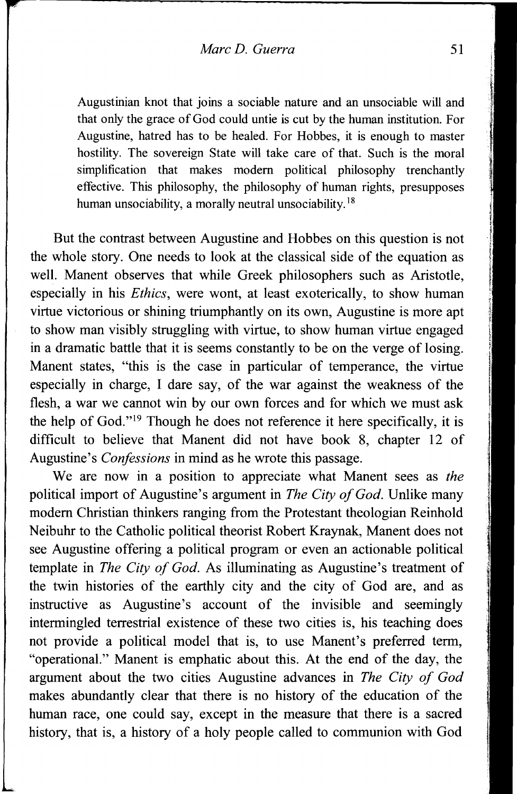Augustinian knot that joins a sociable nature and an unsociable will and that only the grace of God could untie is cut by the human institution. For Augustine, hatred has to be healed. For Hobbes, it is enough to master hostility. The sovereign State will take care of that. Such is the moral simplification that makes modem political philosophy trenchantly effective. This philosophy, the philosophy of human rights, presupposes human unsociability, a morally neutral unsociability.<sup>18</sup>

But the contrast between Augustine and Hobbes on this question is not the whole story. One needs to look at the classical side of the equation as well. Manent observes that while Greek philosophers such as Aristotle, especially in his *Ethics,* were wont, at least exoterically, to show human virtue victorious or shining triumphantly on its own, Augustine is more apt to show man visibly struggling with virtue, to show human virtue engaged in a dramatic battle that it is seems constantly to be on the verge of losing. Manent states, "this is the case in particular of temperance, the virtue especially in charge, I dare say, of the war against the weakness of the flesh, a war we cannot win by our own forces and for which we must ask the help of God."<sup>19</sup> Though he does not reference it here specifically, it is difficult to believe that Manent did not have book 8, chapter 12 of Augustine's *Confessions* in mind as he wrote this passage.

We are now in a position to appreciate what Manent sees as *the*  political import of Augustine's argument in *The City of God.* Unlike many modem Christian thinkers ranging from the Protestant theologian Reinhold Neibuhr to the Catholic political theorist Robert Kraynak, Manent does not see Augustine offering a political program or even an actionable political template in *The City of God.* As illuminating as Augustine's treatment of the twin histories of the earthly city and the city of God are, and as instructive as Augustine's account of the invisible and seemingly intermingled terrestrial existence of these two cities is, his teaching does not provide a political model that is, to use Manent's preferred term, "operational." Manent is emphatic about this. At the end of the day, the argument about the two cities Augustine advances in *The City of God*  makes abundantly clear that there is no history of the education of the human race, one could say, except in the measure that there is a sacred history, that is, a history of a holy people called to communion with God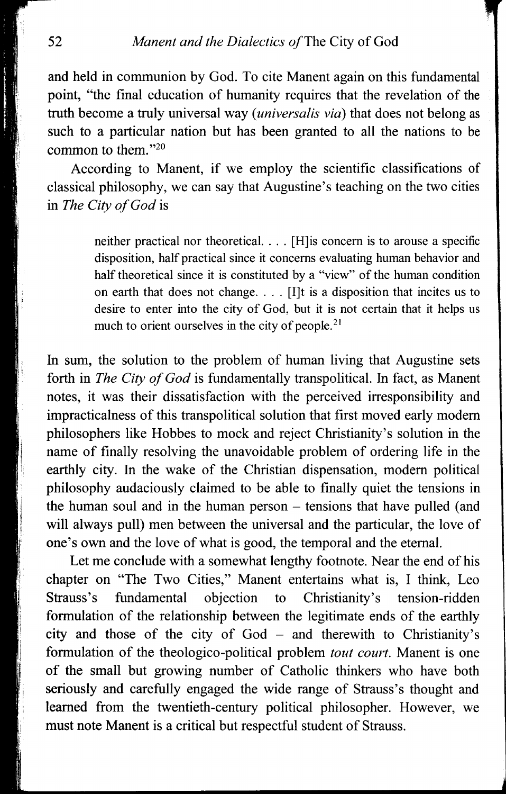### 52 *Manent and the Dialectics of* The City of God

and held in communion by God. To cite Manent again on this fundamental point, "the final education of humanity requires that the revelation of the truth become a truly universal way ( *universalis via)* that does not belong as such to a particular nation but has been granted to all the nations to be common to them. "<sup>20</sup>

According to Manent, if we employ the scientific classifications of classical philosophy, we can say that Augustine's teaching on the two cities in *The City of God* is

> neither practical nor theoretical. ... [H]is concern is to arouse a specific disposition, half practical since it concerns evaluating human behavior and half theoretical since it is constituted by a "view" of the human condition on earth that does not change. . . . [I]t is a disposition that incites us to desire to enter into the city of God, but it is not certain that it helps us much to orient ourselves in the city of people. $2<sup>1</sup>$

In sum, the solution to the problem of human living that Augustine sets forth in *The City of God* is fundamentally transpolitical. In fact, as Manent notes, it was their dissatisfaction with the perceived irresponsibility and impracticalness of this transpolitical solution that first moved early modem philosophers like Hobbes to mock and reject Christianity's solution in the name of finally resolving the unavoidable problem of ordering life in the earthly city. In the wake of the Christian dispensation, modem political philosophy audaciously claimed to be able to finally quiet the tensions in the human soul and in the human person – tensions that have pulled (and will always pull) men between the universal and the particular, the love of one's own and the love of what is good, the temporal and the eternal.

Let me conclude with a somewhat lengthy footnote. Near the end of his chapter on "The Two Cities," Manent entertains what is, I think, Leo Strauss's fundamental objection to Christianity's tension-ridden formulation of the relationship between the legitimate ends of the earthly city and those of the city of God - and therewith to Christianity's formulation of the theologico-political problem *tout court.* Manent is one of the small but growing number of Catholic thinkers who have both seriously and carefully engaged the wide range of Strauss's thought and learned from the twentieth-century political philosopher. However, we must note Manent is a critical but respectful student of Strauss.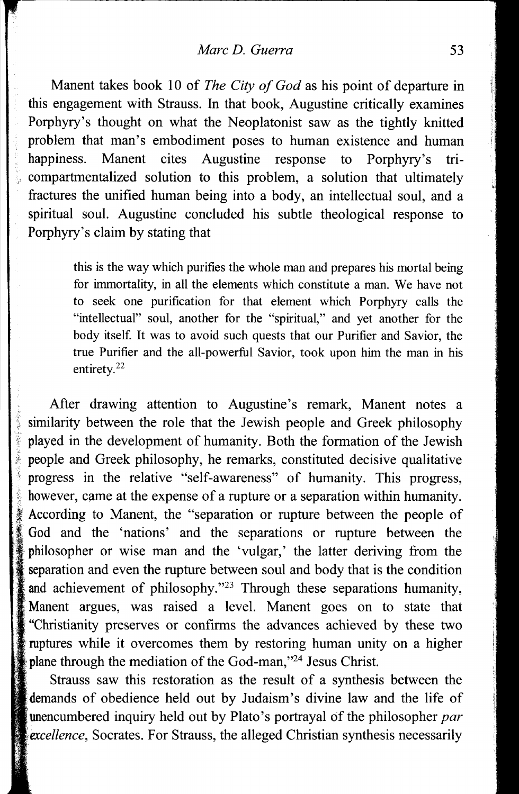### *Marc D. Guerra* 53

Manent takes book 10 of *The City of God* as his point of departure in this engagement with Strauss. In that book, Augustine critically examines Porphyry's thought on what the Neoplatonist saw as the tightly knitted problem that man's embodiment poses to human existence and human happiness. Manent cites Augustine response to Porphyry's tricompartmentalized solution to this problem, a solution that ultimately fractures the unified human being into a body, an intellectual soul, and a spiritual soul. Augustine concluded his subtle theological response to Porphyry's claim by stating that

> this is the way which purifies the whole man and prepares his mortal being for immortality, in all the elements which constitute a man. We have not to seek one purification for that element which Porphyry calls the "intellectual" soul, another for the "spiritual," and yet another for the body itself. It was to avoid such quests that our Purifier and Savior, the true Purifier and the all-powerful Savior, took upon him the man in his entirety. <sup>22</sup>

After drawing attention to Augustine's remark, Manent notes a similarity between the role that the Jewish people and Greek philosophy played in the development of humanity. Both the formation of the Jewish people and Greek philosophy, he remarks, constituted decisive qualitative progress in the relative "self-awareness" of humanity. This progress, however, came at the expense of a rupture or a separation within humanity. According to Manent, the "separation or rupture between the people of God and the 'nations' and the separations or rupture between the philosopher or wise man and the 'vulgar,' the latter deriving from the separation and even the rupture between soul and body that is the condition and achievement of philosophy."<sup>23</sup> Through these separations humanity, Manent argues, was raised a level. Manent goes on to state that "Christianity preserves or confirms the advances achieved by these two ruptures while it overcomes them by restoring human unity on a higher plane through the mediation of the God-man,"<sup>24</sup> Jesus Christ.

Strauss saw this restoration as the result of a synthesis between the demands of obedience held out by Judaism's divine law and the life of unencumbered inquiry held out by Plato's portrayal of the philosopher *par :excellence,* Socrates. For Strauss, the alleged Christian synthesis necessarily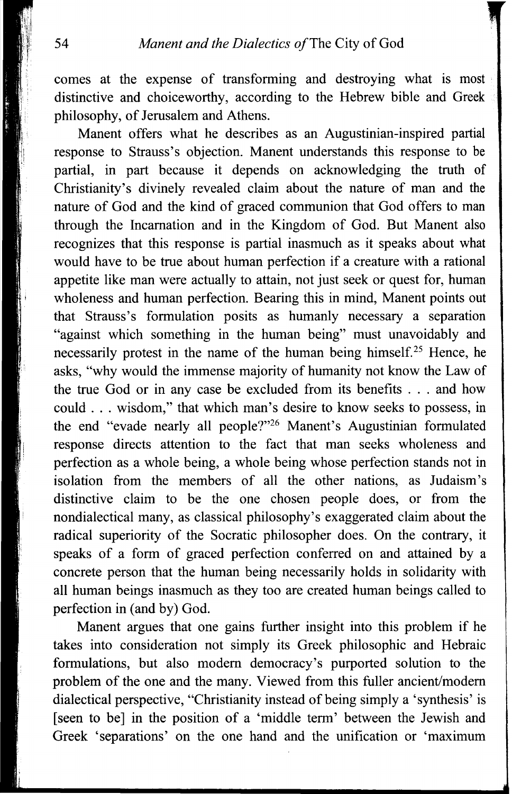comes at the expense of transforming and destroying what is most distinctive and choiceworthy, according to the Hebrew bible and Greek philosophy, of Jerusalem and Athens.

Manent offers what he describes as an Augustinian-inspired partial response to Strauss's objection. Manent understands this response to be partial, in part because it depends on acknowledging the truth of Christianity's divinely revealed claim about the nature of man and the nature of God and the kind of graced communion that God offers to man through the Incarnation and in the Kingdom of God. But Manent also recognizes that this response is partial inasmuch as it speaks about what would have to be true about human perfection if a creature with a rational appetite like man were actually to attain, not just seek or quest for, human wholeness and human perfection. Bearing this in mind, Manent points out that Strauss's formulation posits as humanly necessary a separation "against which something in the human being" must unavoidably and necessarily protest in the name of the human being himself.<sup>25</sup> Hence, he asks, "why would the immense majority of humanity not know the Law of the true God or in any case be excluded from its benefits . . . and how could . . . wisdom," that which man's desire to know seeks to possess, in the end "evade nearly all people?"26 Manent's Augustinian formulated response directs attention to the fact that man seeks wholeness and perfection as a whole being, a whole being whose perfection stands not in isolation from the members of all the other nations, as Judaism's distinctive claim to be the one chosen people does, or from the nondialectical many, as classical philosophy's exaggerated claim about the radical superiority of the Socratic philosopher does. On the contrary, it speaks of a form of graced perfection conferred on and attained by a concrete person that the human being necessarily holds in solidarity with all human beings inasmuch as they too are created human beings called to perfection in (and by) God.

Manent argues that one gains further insight into this problem if he takes into consideration not simply its Greek philosophic and Hebraic formulations, but also modem democracy's purported solution to the problem of the one and the many. Viewed from this fuller ancient/modem dialectical perspective, "Christianity instead of being simply a 'synthesis' is [seen to be] in the position of a 'middle term' between the Jewish and Greek 'separations' on the one hand and the unification or 'maximum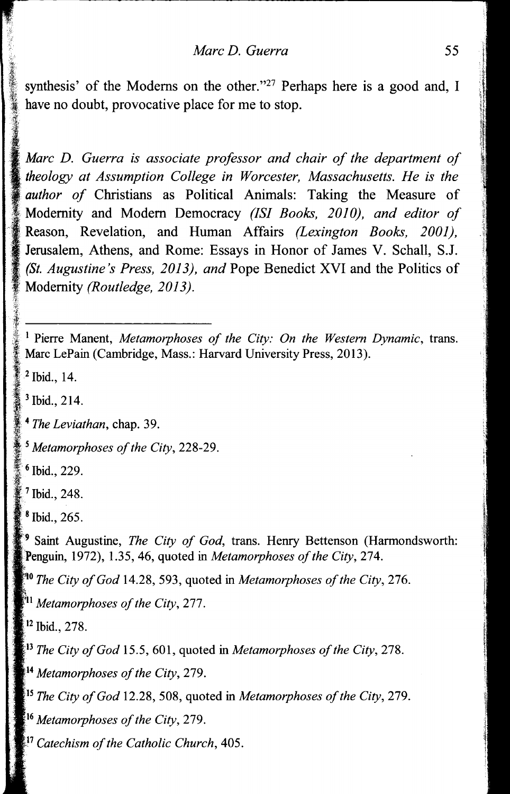synthesis' of the Moderns on the other."<sup>27</sup> Perhaps here is a good and, I have no doubt, provocative place for me to stop.

: *Marc D. Guerra is associate professor and chair of the department of*  ., *theology at Assumption College in Worcester, Massachusetts. He is the author of* Christians as Political Animals: Taking the Measure of Modernity and Modem Democracy *(ISi Books, 2010), and editor of*  Reason, Revelation, and Human Affairs *(Lexington Books, 2001),* Jerusalem, Athens, and Rome: Essays in Honor of James V. Schall, S.J. (St. Augustine's Press, 2013), and Pope Benedict XVI and the Politics of Modernity *(Routledge, 2013).* 

<sup>2</sup> Ibid., 14.

 $\sim$ 

3 Ibid., 214.

<sup>4</sup>*The Leviathan,* chap. 39.

*5 Metamorphoses of the City,* 228-29.

6 Ibid., 229.

 $7$  Ibid., 248.

Ibid., 265.

*<sup>9</sup>*Saint Augustine, *The City of God,* trans. Henry Bettenson (Harmondsworth: Penguin, 1972), 1.35, 46, quoted in *Metamorphoses of the City*, 274.

\_fio *The City of God* 14.28, 593, quoted in *Metamorphoses of the City,* 276 .

.. ill *Metamorphoses of the City,* 277.

12 Ibid., 278.

<sup>13</sup> The City of God 15.5, 601, quoted in *Metamorphoses of the City*, 278.

<sup>14</sup>*Metamorphoses of the City,* 279.

<sup>15</sup>*The City of God* 12.28, 508, quoted in *Metamorphoses of the City,* 279 .

.1<sup>6</sup>*Metamorphoses of the City,* 279.

<sup>[17</sup> Catechism of the Catholic Church, 405.

<sup>1</sup> Pierre Manent, *Metamorphoses of the City: On the Western Dynamic,* trans. Marc LePain (Cambridge, Mass.: Harvard University Press, 2013).